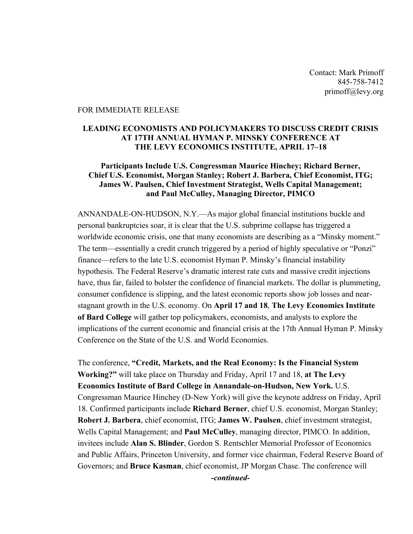Contact: Mark Primoff 845-758-7412 primoff@levy.org

#### FOR IMMEDIATE RELEASE

# LEADING ECONOMISTS AND POLICYMAKERS TO DISCUSS CREDIT CRISIS AT 17TH ANNUAL HYMAN P. MINSKY CONFERENCE AT THE LEVY ECONOMICS INSTITUTE, APRIL 17–18

# Participants Include U.S. Congressman Maurice Hinchey; Richard Berner, Chief U.S. Economist, Morgan Stanley; Robert J. Barbera, Chief Economist, ITG; James W. Paulsen, Chief Investment Strategist, Wells Capital Management; and Paul McCulley, Managing Director, PIMCO

ANNANDALE-ON-HUDSON, N.Y.—As major global financial institutions buckle and personal bankruptcies soar, it is clear that the U.S. subprime collapse has triggered a worldwide economic crisis, one that many economists are describing as a "Minsky moment." The term—essentially a credit crunch triggered by a period of highly speculative or "Ponzi" finance—refers to the late U.S. economist Hyman P. Minsky's financial instability hypothesis. The Federal Reserve's dramatic interest rate cuts and massive credit injections have, thus far, failed to bolster the confidence of financial markets. The dollar is plummeting, consumer confidence is slipping, and the latest economic reports show job losses and nearstagnant growth in the U.S. economy. On April 17 and 18, The Levy Economics Institute of Bard College will gather top policymakers, economists, and analysts to explore the implications of the current economic and financial crisis at the 17th Annual Hyman P. Minsky Conference on the State of the U.S. and World Economies.

The conference, "Credit, Markets, and the Real Economy: Is the Financial System Working?" will take place on Thursday and Friday, April 17 and 18, at The Levy Economics Institute of Bard College in Annandale-on-Hudson, New York. U.S. Congressman Maurice Hinchey (D-New York) will give the keynote address on Friday, April 18. Confirmed participants include Richard Berner, chief U.S. economist, Morgan Stanley; Robert J. Barbera, chief economist, ITG; James W. Paulsen, chief investment strategist, Wells Capital Management; and Paul McCulley, managing director, PIMCO. In addition, invitees include Alan S. Blinder, Gordon S. Rentschler Memorial Professor of Economics and Public Affairs, Princeton University, and former vice chairman, Federal Reserve Board of Governors; and Bruce Kasman, chief economist, JP Morgan Chase. The conference will

*-continued-*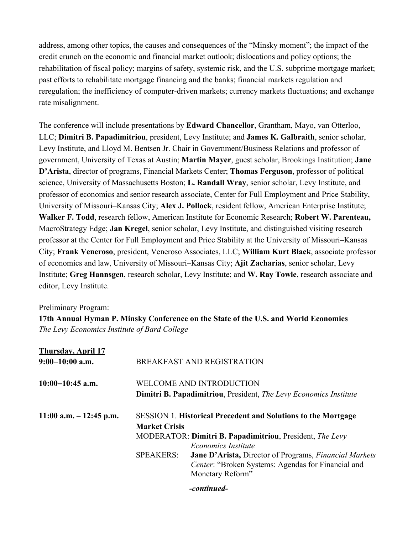address, among other topics, the causes and consequences of the "Minsky moment"; the impact of the credit crunch on the economic and financial market outlook; dislocations and policy options; the rehabilitation of fiscal policy; margins of safety, systemic risk, and the U.S. subprime mortgage market; past efforts to rehabilitate mortgage financing and the banks; financial markets regulation and reregulation; the inefficiency of computer-driven markets; currency markets fluctuations; and exchange rate misalignment.

The conference will include presentations by Edward Chancellor, Grantham, Mayo, van Otterloo, LLC; Dimitri B. Papadimitriou, president, Levy Institute; and James K. Galbraith, senior scholar, Levy Institute, and Lloyd M. Bentsen Jr. Chair in Government/Business Relations and professor of government, University of Texas at Austin; Martin Mayer, guest scholar, Brookings Institution; Jane D'Arista, director of programs, Financial Markets Center; Thomas Ferguson, professor of political science, University of Massachusetts Boston; L. Randall Wray, senior scholar, Levy Institute, and professor of economics and senior research associate, Center for Full Employment and Price Stability, University of Missouri–Kansas City; Alex J. Pollock, resident fellow, American Enterprise Institute; Walker F. Todd, research fellow, American Institute for Economic Research; Robert W. Parenteau, MacroStrategy Edge; Jan Kregel, senior scholar, Levy Institute, and distinguished visiting research professor at the Center for Full Employment and Price Stability at the University of Missouri–Kansas City; Frank Veneroso, president, Veneroso Associates, LLC; William Kurt Black, associate professor of economics and law, University of Missouri–Kansas City; Ajit Zacharias, senior scholar, Levy Institute; Greg Hannsgen, research scholar, Levy Institute; and W. Ray Towle, research associate and editor, Levy Institute.

# Preliminary Program:

17th Annual Hyman P. Minsky Conference on the State of the U.S. and World Economies *The Levy Economics Institute of Bard College*

| <b>Thursday, April 17</b>  |                                                                      |                                                                                                                                                |  |
|----------------------------|----------------------------------------------------------------------|------------------------------------------------------------------------------------------------------------------------------------------------|--|
| $9:00-10:00$ a.m.          | <b>BREAKFAST AND REGISTRATION</b>                                    |                                                                                                                                                |  |
| $10:00-10:45$ a.m.         | <b>WELCOME AND INTRODUCTION</b>                                      |                                                                                                                                                |  |
|                            |                                                                      | <b>Dimitri B. Papadimitriou, President, The Levy Economics Institute</b>                                                                       |  |
| $11:00$ a.m. $-12:45$ p.m. | <b>SESSION 1. Historical Precedent and Solutions to the Mortgage</b> |                                                                                                                                                |  |
|                            | <b>Market Crisis</b>                                                 |                                                                                                                                                |  |
|                            | MODERATOR: Dimitri B. Papadimitriou, President, The Levy             |                                                                                                                                                |  |
|                            |                                                                      | <b>Economics Institute</b>                                                                                                                     |  |
|                            | <b>SPEAKERS:</b>                                                     | <b>Jane D'Arista, Director of Programs, Financial Markets</b><br><i>Center:</i> "Broken Systems: Agendas for Financial and<br>Monetary Reform" |  |
|                            |                                                                      |                                                                                                                                                |  |

*-continued-*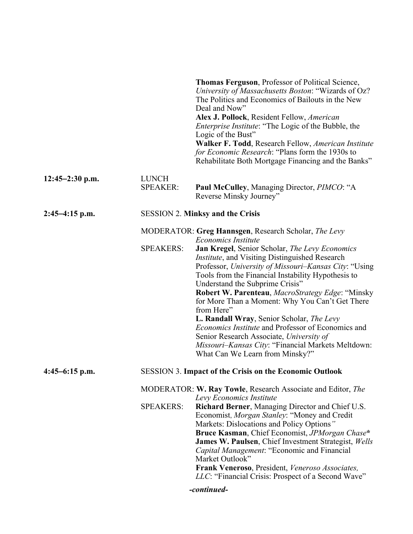|                                                             |                                                                | Thomas Ferguson, Professor of Political Science,<br>University of Massachusetts Boston: "Wizards of Oz?<br>The Politics and Economics of Bailouts in the New<br>Deal and Now"<br>Alex J. Pollock, Resident Fellow, American<br><i>Enterprise Institute</i> : "The Logic of the Bubble, the<br>Logic of the Bust"<br>Walker F. Todd, Research Fellow, American Institute<br>for Economic Research: "Plans form the 1930s to<br>Rehabilitate Both Mortgage Financing and the Banks"                                                                                                                                                                     |  |
|-------------------------------------------------------------|----------------------------------------------------------------|-------------------------------------------------------------------------------------------------------------------------------------------------------------------------------------------------------------------------------------------------------------------------------------------------------------------------------------------------------------------------------------------------------------------------------------------------------------------------------------------------------------------------------------------------------------------------------------------------------------------------------------------------------|--|
| $12:45 - 2:30$ p.m.                                         | <b>LUNCH</b><br><b>SPEAKER:</b>                                | <b>Paul McCulley, Managing Director, PIMCO: "A</b><br>Reverse Minsky Journey"                                                                                                                                                                                                                                                                                                                                                                                                                                                                                                                                                                         |  |
| <b>SESSION 2. Minksy and the Crisis</b><br>$2:45-4:15$ p.m. |                                                                |                                                                                                                                                                                                                                                                                                                                                                                                                                                                                                                                                                                                                                                       |  |
|                                                             |                                                                | MODERATOR: Greg Hannsgen, Research Scholar, The Levy                                                                                                                                                                                                                                                                                                                                                                                                                                                                                                                                                                                                  |  |
|                                                             | <b>SPEAKERS:</b>                                               | <b>Economics Institute</b><br>Jan Kregel, Senior Scholar, The Levy Economics<br><i>Institute</i> , and Visiting Distinguished Research<br>Professor, University of Missouri-Kansas City: "Using<br>Tools from the Financial Instability Hypothesis to<br>Understand the Subprime Crisis"<br>Robert W. Parenteau, MacroStrategy Edge: "Minsky<br>for More Than a Moment: Why You Can't Get There<br>from Here"<br>L. Randall Wray, Senior Scholar, The Levy<br>Economics Institute and Professor of Economics and<br>Senior Research Associate, University of<br>Missouri–Kansas City: "Financial Markets Meltdown:<br>What Can We Learn from Minsky?" |  |
| $4:45-6:15$ p.m.                                            | <b>SESSION 3. Impact of the Crisis on the Economic Outlook</b> |                                                                                                                                                                                                                                                                                                                                                                                                                                                                                                                                                                                                                                                       |  |
|                                                             |                                                                | MODERATOR: W. Ray Towle, Research Associate and Editor, The<br>Levy Economics Institute                                                                                                                                                                                                                                                                                                                                                                                                                                                                                                                                                               |  |
|                                                             | <b>SPEAKERS:</b>                                               | Richard Berner, Managing Director and Chief U.S.<br>Economist, Morgan Stanley: "Money and Credit<br>Markets: Dislocations and Policy Options"<br>Bruce Kasman, Chief Economist, JPMorgan Chase*<br>James W. Paulsen, Chief Investment Strategist, Wells<br>Capital Management: "Economic and Financial<br>Market Outlook"<br>Frank Veneroso, President, Veneroso Associates,<br>LLC: "Financial Crisis: Prospect of a Second Wave"                                                                                                                                                                                                                    |  |
|                                                             |                                                                | -continued-                                                                                                                                                                                                                                                                                                                                                                                                                                                                                                                                                                                                                                           |  |